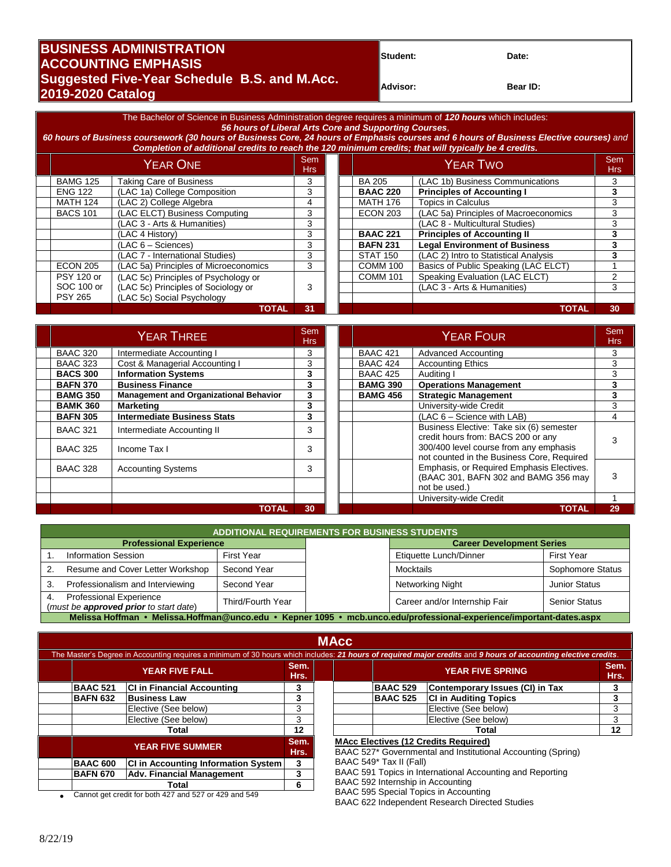## **BUSINESS ADMINISTRATION**<br> **ACCOUNTING EMPHASIS Suggested Five-Year Schedule B.S. and M.Acc. Advisor: Advisor: Bear ID: Bear ID: 2019-2020 Catalog**

The Bachelor of Science in Business Administration degree requires a minimum of *120 hours* which includes: *56 hours of Liberal Arts Core and Supporting Courses*,

*60 hours of Business coursework (30 hours of Business Core, 24 hours of Emphasis courses and 6 hours of Business Elective courses) and Completion of additional credits to reach the 120 minimum credits; that will typically be 4 credits.*

| YEAR ONE          |                                       | Sem<br>Hrs: |  | YEAR TWO        |                                       | Sem<br>Hrs |
|-------------------|---------------------------------------|-------------|--|-----------------|---------------------------------------|------------|
| <b>BAMG 125</b>   | <b>Taking Care of Business</b>        | 3           |  | BA 205          | (LAC 1b) Business Communications      | 3          |
| <b>ENG 122</b>    | (LAC 1a) College Composition          | 3           |  | <b>BAAC 220</b> | <b>Principles of Accounting I</b>     |            |
| <b>MATH 124</b>   | (LAC 2) College Algebra               | 4           |  | <b>MATH 176</b> | <b>Topics in Calculus</b>             | 3          |
| <b>BACS 101</b>   | (LAC ELCT) Business Computing         | 3           |  | <b>ECON 203</b> | (LAC 5a) Principles of Macroeconomics | 3          |
|                   | (LAC 3 - Arts & Humanities)           | 3           |  |                 | (LAC 8 - Multicultural Studies)       | З          |
|                   | (LAC 4 History)                       | 3           |  | <b>BAAC 221</b> | <b>Principles of Accounting II</b>    |            |
|                   | $(LAC 6 - Sciences)$                  | 3           |  | <b>BAFN 231</b> | <b>Legal Environment of Business</b>  | з          |
|                   | (LAC 7 - International Studies)       | 3           |  | STAT 150        | (LAC 2) Intro to Statistical Analysis |            |
| <b>ECON 205</b>   | (LAC 5a) Principles of Microeconomics | 3           |  | <b>COMM 100</b> | Basics of Public Speaking (LAC ELCT)  |            |
| <b>PSY 120 or</b> | (LAC 5c) Principles of Psychology or  |             |  | <b>COMM 101</b> | Speaking Evaluation (LAC ELCT)        | ◠          |
| SOC 100 or        | (LAC 5c) Principles of Sociology or   | 3           |  |                 | (LAC 3 - Arts & Humanities)           | 3          |
| <b>PSY 265</b>    | (LAC 5c) Social Psychology            |             |  |                 |                                       |            |
|                   | <b>TOTAL</b>                          | 31          |  |                 | <b>TOTAL</b>                          | 30         |

| YEAR THREE      |                                               | <b>Sem</b><br><b>Hrs</b> |  | <b>YEAR FOUR</b> |                                                                                      | Sem<br><b>Hrs</b> |
|-----------------|-----------------------------------------------|--------------------------|--|------------------|--------------------------------------------------------------------------------------|-------------------|
| <b>BAAC 320</b> | Intermediate Accounting I                     | 3                        |  | <b>BAAC 421</b>  | Advanced Accounting                                                                  | 3                 |
| <b>BAAC 323</b> | Cost & Managerial Accounting I                | 3                        |  | <b>BAAC 424</b>  | <b>Accounting Ethics</b>                                                             | 3                 |
| <b>BACS 300</b> | <b>Information Systems</b>                    | 3                        |  | <b>BAAC 425</b>  | Auditing I                                                                           |                   |
| <b>BAFN 370</b> | <b>Business Finance</b>                       | 3                        |  | <b>BAMG 390</b>  | <b>Operations Management</b>                                                         |                   |
| <b>BAMG 350</b> | <b>Management and Organizational Behavior</b> | 3                        |  | <b>BAMG 456</b>  | <b>Strategic Management</b>                                                          |                   |
| <b>BAMK 360</b> | Marketing                                     | 3                        |  |                  | University-wide Credit                                                               | 3                 |
| <b>BAFN 305</b> | <b>Intermediate Business Stats</b>            | 3                        |  |                  | (LAC 6 - Science with LAB)                                                           | 4                 |
| <b>BAAC 321</b> | Intermediate Accounting II                    | 3                        |  |                  | Business Elective: Take six (6) semester<br>credit hours from: BACS 200 or any       |                   |
| <b>BAAC 325</b> | Income Tax I                                  | 3                        |  |                  | 300/400 level course from any emphasis<br>not counted in the Business Core, Required |                   |
| <b>BAAC 328</b> | <b>Accounting Systems</b>                     | 3                        |  |                  | Emphasis, or Required Emphasis Electives.<br>(BAAC 301, BAFN 302 and BAMG 356 may    |                   |
|                 |                                               |                          |  |                  | not be used.)                                                                        |                   |
|                 |                                               |                          |  |                  | University-wide Credit                                                               |                   |
|                 | TOTAL                                         | 30                       |  |                  | TOTAL                                                                                | 29                |

|                                                       | <b>ADDITIONAL REQUIREMENTS FOR BUSINESS STUDENTS</b>                                                                 |                   |                  |                                  |                      |  |  |  |
|-------------------------------------------------------|----------------------------------------------------------------------------------------------------------------------|-------------------|------------------|----------------------------------|----------------------|--|--|--|
| <b>Professional Experience</b>                        |                                                                                                                      |                   |                  | <b>Career Development Series</b> |                      |  |  |  |
|                                                       | <b>Information Session</b>                                                                                           | <b>First Year</b> |                  | Etiquette Lunch/Dinner           | <b>First Year</b>    |  |  |  |
|                                                       | Resume and Cover Letter Workshop                                                                                     | Second Year       |                  | Mocktails                        | Sophomore Status     |  |  |  |
| Professionalism and Interviewing<br>Second Year<br>3. |                                                                                                                      |                   | Networking Night | <b>Junior Status</b>             |                      |  |  |  |
| 4.                                                    | <b>Professional Experience</b><br>(must be <b>approved prior</b> to start date)                                      | Third/Fourth Year |                  | Career and/or Internship Fair    | <b>Senior Status</b> |  |  |  |
|                                                       | Melissa Hoffman • Melissa.Hoffman@unco.edu • Kepner 1095 • mcb.unco.edu/professional-experience/important-dates.aspx |                   |                  |                                  |                      |  |  |  |

|                                                       |                         |                                            |              | <b>MAcc</b>                       |                         |                                                                                                                                                                 |              |  |
|-------------------------------------------------------|-------------------------|--------------------------------------------|--------------|-----------------------------------|-------------------------|-----------------------------------------------------------------------------------------------------------------------------------------------------------------|--------------|--|
|                                                       |                         |                                            |              |                                   |                         | The Master's Degree in Accounting requires a minimum of 30 hours which includes: 21 hours of required major credits and 9 hours of accounting elective credits. |              |  |
|                                                       | <b>YEAR FIVE FALL</b>   |                                            | Sem.<br>Hrs. |                                   | <b>YEAR FIVE SPRING</b> |                                                                                                                                                                 | Sem.<br>Hrs. |  |
|                                                       | <b>BAAC 521</b>         | <b>CI in Financial Accounting</b>          | 3            |                                   | <b>BAAC 529</b>         | Contemporary Issues (CI) in Tax                                                                                                                                 | 3            |  |
|                                                       | <b>BAFN 632</b>         | <b>Business Law</b>                        | 3            |                                   | <b>BAAC 525</b>         | <b>CI in Auditing Topics</b>                                                                                                                                    | 3            |  |
|                                                       |                         | Elective (See below)                       | 3            |                                   |                         | Elective (See below)                                                                                                                                            | 3            |  |
|                                                       |                         | Elective (See below)                       | 3            |                                   |                         | Elective (See below)                                                                                                                                            | 3            |  |
| Total                                                 |                         | $12 \,$                                    |              |                                   | Total                   | 12 <sup>12</sup>                                                                                                                                                |              |  |
|                                                       | <b>YEAR FIVE SUMMER</b> |                                            |              |                                   |                         | <b>MAcc Electives (12 Credits Required)</b><br>BAAC 527* Governmental and Institutional Accounting (Spring)                                                     |              |  |
|                                                       | <b>BAAC 600</b>         | <b>CI in Accounting Information System</b> | 3            |                                   | BAAC 549* Tax II (Fall) |                                                                                                                                                                 |              |  |
|                                                       | <b>BAFN 670</b>         | Adv. Financial Management                  | 3            |                                   |                         | BAAC 591 Topics in International Accounting and Reporting                                                                                                       |              |  |
|                                                       |                         | Total                                      | 6            | BAAC 592 Internship in Accounting |                         |                                                                                                                                                                 |              |  |
| Cannot get credit for both 427 and 527 or 429 and 549 |                         |                                            |              |                                   |                         | BAAC 595 Special Topics in Accounting                                                                                                                           |              |  |

• Cannot get credit for both 427 and 527 or 429 and 549

BAAC 622 Independent Research Directed Studies